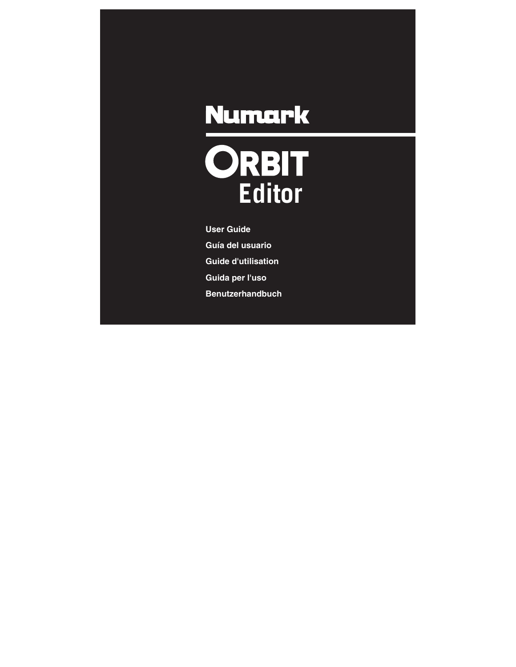# **ORBIT**<br>Editor

**User Guide Guía del usuario Guide d'utilisation Guida per l'uso Benutzerhandbuch**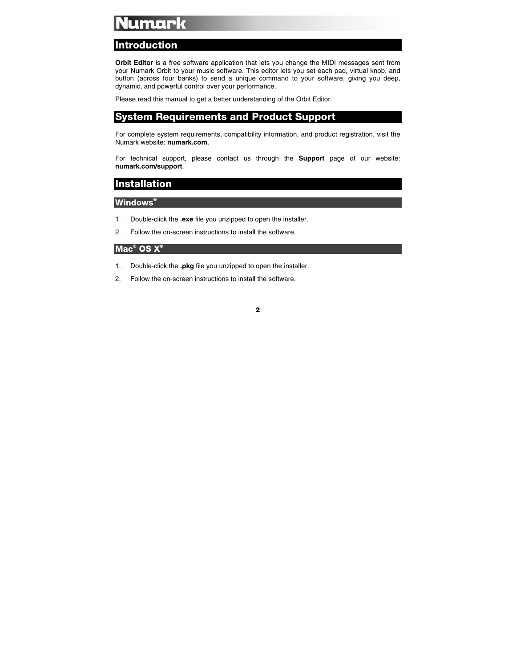#### **Introduction**

**Orbit Editor** is a free software application that lets you change the MIDI messages sent from your Numark Orbit to your music software. This editor lets you set each pad, virtual knob, and button (across four banks) to send a unique command to your software, giving you deep, dynamic, and powerful control over your performance.

Please read this manual to get a better understanding of the Orbit Editor.

#### **System Requirements and Product Support**

For complete system requirements, compatibility information, and product registration, visit the Numark website: **[numark.com](http://www.numark.com)**.

For technical support, please contact us through the **Support** page of our website: **[numark.com/support](http://www.numark.com/support)**.

#### **Installation**

#### **Windows®**

- 1. Double-click the **.exe** file you unzipped to open the installer.
- 2. Follow the on-screen instructions to install the software.

#### **Mac® OS X®**

- 1. Double-click the **.pkg** file you unzipped to open the installer.
- 2. Follow the on-screen instructions to install the software.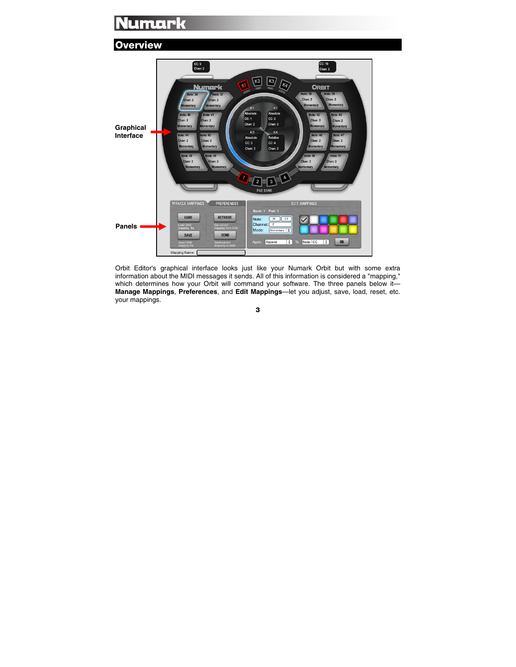#### **Overview**



Orbit Editor's graphical interface looks just like your Numark Orbit but with some extra information about the MIDI messages it sends. All of this information is considered a "mapping," which determines how your Orbit will command your software. The three panels below it-**[Manage Mappings](#page-9-0)**, **[Preferences](#page-9-0)**, and **[Edit Mappings](#page-7-0)**—let you adjust, save, load, reset, etc. your mappings.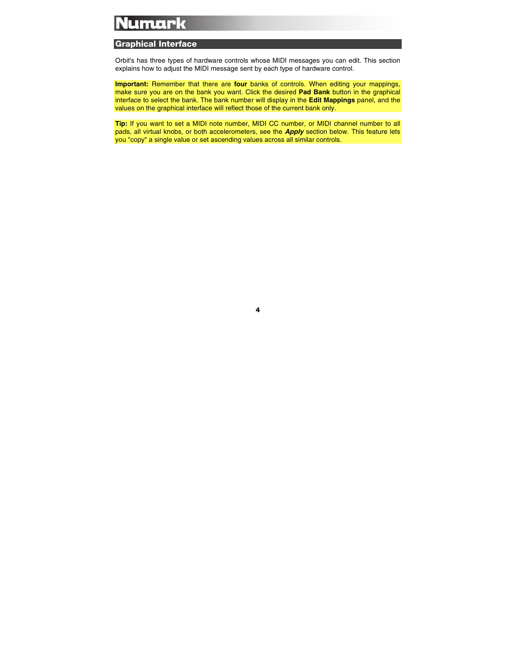#### **Graphical Interface**

Orbit's has three types of hardware controls whose MIDI messages you can edit. This section explains how to adjust the MIDI message sent by each type of hardware control.

**Important:** Remember that there are **four** banks of controls. When editing your mappings, make sure you are on the bank you want. Click the desired **Pad Bank** button in the graphical interface to select the bank. The bank number will display in the **Edit Mappings** panel, and the values on the graphical interface will reflect those of the current bank only.

**Tip:** If you want to set a MIDI note number, MIDI CC number, or MIDI channel number to all pads, all virtual knobs, or both accelerometers, see the *[Apply](#page-7-0)* section below. This feature lets you "copy" a single value or set ascending values across all similar controls.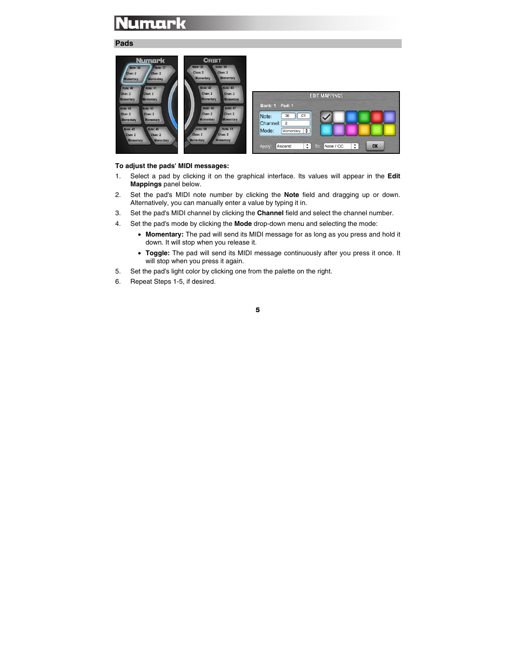#### <span id="page-4-0"></span>**Pads**

| Chan: 2<br>Chan: 2<br>Chan: 2<br>Chan: 2<br><b>EDIT MAPPINGS</b><br><b>Momentary</b><br><b>Momentary</b><br><b>Momentary</b><br><b>Momentary</b><br>Pad: 1<br>Bank: 1<br><b>Note: 46</b><br><b>Note: 47</b><br>Note: 44<br>Note: 45<br>Chan: 2<br>Chan: 2<br>Chan: 2<br>Chan: 2<br>C <sub>1</sub><br>36<br>Note:<br>Momentary<br><b>Momentary</b><br><b>Momentary</b><br><b>Momentary</b> | <b>Numark</b><br><b>Note: 36</b><br>Note: 37<br>Chan: 2<br>Chan: 2<br><b>Momentary</b><br><b>Momentary</b><br><b>Note: 40</b><br>Note: 41 | <b>ORBIT</b><br><b>Note: 39</b><br><b>Note: 38</b><br>Chan: 2<br>Chan: 2<br><b>Momentary</b><br><b>Momentary</b><br>Note: 42<br><b>Note: 43</b> |                            |
|-------------------------------------------------------------------------------------------------------------------------------------------------------------------------------------------------------------------------------------------------------------------------------------------------------------------------------------------------------------------------------------------|-------------------------------------------------------------------------------------------------------------------------------------------|-------------------------------------------------------------------------------------------------------------------------------------------------|----------------------------|
| Note: 50<br><b>Note: 51</b><br><b>Note: 48</b><br>Note: 49<br>Mode:<br>÷<br>Momentary  <br>Chan: 2<br>Chan: 2<br>Chan: 2<br>Chan: 2<br><b>Momentary</b><br><b>Momentary</b><br>Momentary<br>Momentary<br>M                                                                                                                                                                                |                                                                                                                                           |                                                                                                                                                 | Channel:<br>$\overline{2}$ |

#### **To adjust the pads' MIDI messages:**

- 1. Select a pad by clicking it on the graphical interface. Its values will appear in the **Edit Mappings** panel below.
- 2. Set the pad's MIDI note number by clicking the **Note** field and dragging up or down. Alternatively, you can manually enter a value by typing it in.
- 3. Set the pad's MIDI channel by clicking the **Channel** field and select the channel number.
- 4. Set the pad's mode by clicking the **Mode** drop-down menu and selecting the mode:
	- **Momentary:** The pad will send its MIDI message for as long as you press and hold it down. It will stop when you release it.
	- **Toggle:** The pad will send its MIDI message continuously after you press it once. It will stop when you press it again.
- 5. Set the pad's light color by clicking one from the palette on the right.
- 6. Repeat Steps 1-5, if desired.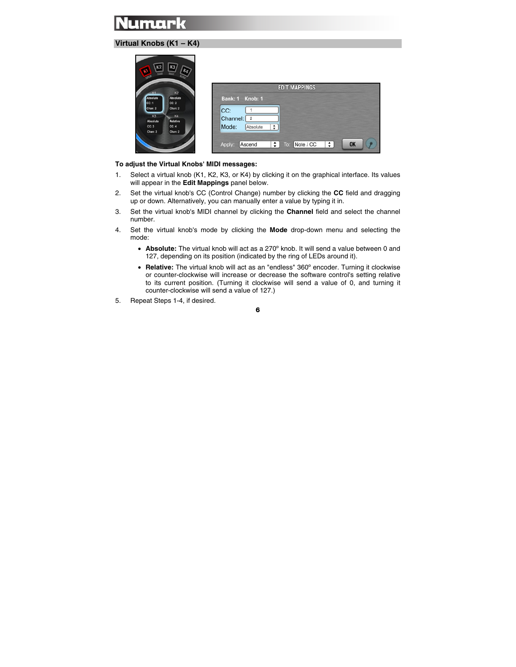#### <span id="page-5-0"></span>**Virtual Knobs (K1 – K4)**

|                          | K3 <br>Ką                  | <b>EDIT MAPPINGS</b>                                        |
|--------------------------|----------------------------|-------------------------------------------------------------|
| K1<br>Absolute<br> cc:1  | K2<br>Absolute<br>CC: 2    | Bank: 1 Knob: 1                                             |
| Chan: 2                  | Chan: 2                    | CC:                                                         |
| K3                       | K <sub>4</sub><br>Relative | Channel:<br>$\overline{2}$                                  |
| Absolute<br>CC:3         | CC: 4                      | Mode:<br>÷<br>Absolute                                      |
| Chan: 2                  | Chan: 2                    |                                                             |
| $\overline{\phantom{a}}$ |                            | <b>OK</b><br>÷<br>Note / CC<br>÷<br>Ascend<br>Apply:<br>To: |

#### **To adjust the Virtual Knobs' MIDI messages:**

- 1. Select a virtual knob (K1, K2, K3, or K4) by clicking it on the graphical interface. Its values will appear in the **Edit Mappings** panel below.
- 2. Set the virtual knob's CC (Control Change) number by clicking the **CC** field and dragging up or down. Alternatively, you can manually enter a value by typing it in.
- 3. Set the virtual knob's MIDI channel by clicking the **Channel** field and select the channel number.
- 4. Set the virtual knob's mode by clicking the **Mode** drop-down menu and selecting the mode:
	- **Absolute:** The virtual knob will act as a 270º knob. It will send a value between 0 and 127, depending on its position (indicated by the ring of LEDs around it).
	- **Relative:** The virtual knob will act as an "endless" 360º encoder. Turning it clockwise or counter-clockwise will increase or decrease the software control's setting relative to its current position. (Turning it clockwise will send a value of 0, and turning it counter-clockwise will send a value of 127.)
- 5. Repeat Steps 1-4, if desired.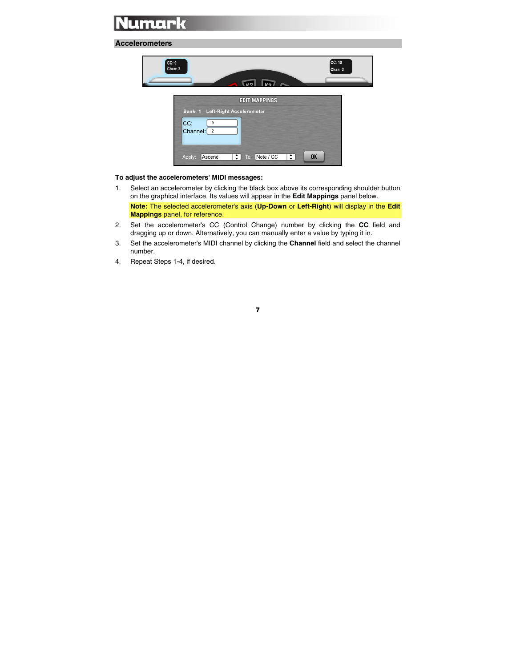#### <span id="page-6-0"></span>**Accelerometers**

| CC: 10<br>CC: 9<br>Chan: 2<br>Chan: 2<br>$\sqrt{1/2}$ $\sqrt{1/2}$<br><b>EDIT MAPPINGS</b>                                  |  |
|-----------------------------------------------------------------------------------------------------------------------------|--|
|                                                                                                                             |  |
| Bank: 1 Left-Right Accelerometer<br>CC:<br>9<br>Channel: 2<br>To: Note / CC<br>÷<br>$\div$<br><b>OK</b><br>Ascend<br>Apply: |  |

#### **To adjust the accelerometers' MIDI messages:**

1. Select an accelerometer by clicking the black box above its corresponding shoulder button on the graphical interface. Its values will appear in the **Edit Mappings** panel below.

**Note:** The selected accelerometer's axis (**Up-Down** or **Left-Right**) will display in the **Edit Mappings** panel, for reference.

- 2. Set the accelerometer's CC (Control Change) number by clicking the **CC** field and dragging up or down. Alternatively, you can manually enter a value by typing it in.
- 3. Set the accelerometer's MIDI channel by clicking the **Channel** field and select the channel number.
- 4. Repeat Steps 1-4, if desired.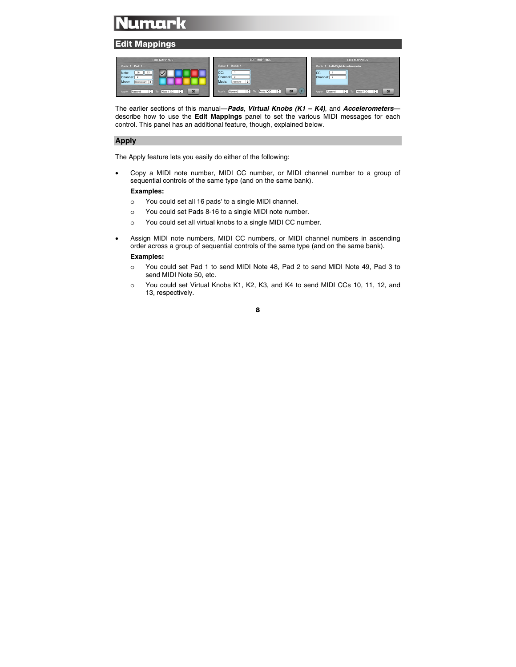#### <span id="page-7-0"></span>**Edit Mappings**

| <b>EDIT MAPPINGS</b>                                                                                                                                          | <b>EDIT MAPPINGS</b>                                                                                                       | <b>EDIT MAPPINGS</b>                                                                                    |
|---------------------------------------------------------------------------------------------------------------------------------------------------------------|----------------------------------------------------------------------------------------------------------------------------|---------------------------------------------------------------------------------------------------------|
| <b>Bank: 1 Pad: 1</b><br>36<br>Note:<br>C1<br>Channel:<br>Mode:<br>Momentary $\div$<br><b>OK</b><br>$\therefore$ To: Note / CC<br>÷<br><b>Apply</b><br>Ascend | Bank: 1 Knob: 1<br><b>ICC:</b><br>Channel:<br>Mode:<br>€<br>Absolute<br>OK<br>$\div$ To: Note / CC<br>٠<br>Ascend<br>Apply | Bank: 1 Left-Right Accelerometer<br>CC:<br>Channel:<br>OK<br>Ð<br>÷<br>To: Note / CC<br>Apply<br>Ascend |

The earlier sections of this manual—*[Pads](#page-4-0)*, *[Virtual Knobs \(K1 – K4\)](#page-5-0)*, and *[Accelerometers](#page-6-0)* describe how to use the **Edit Mappings** panel to set the various MIDI messages for each control. This panel has an additional feature, though, explained below.

#### **Apply**

The Apply feature lets you easily do either of the following:

• Copy a MIDI note number, MIDI CC number, or MIDI channel number to a group of sequential controls of the same type (and on the same bank).

#### **Examples:**

- o You could set all 16 pads' to a single MIDI channel.
- o You could set Pads 8-16 to a single MIDI note number.
- o You could set all virtual knobs to a single MIDI CC number.
- Assign MIDI note numbers, MIDI CC numbers, or MIDI channel numbers in ascending order across a group of sequential controls of the same type (and on the same bank).

#### **Examples:**

- o You could set Pad 1 to send MIDI Note 48, Pad 2 to send MIDI Note 49, Pad 3 to send MIDI Note 50, etc.
- o You could set Virtual Knobs K1, K2, K3, and K4 to send MIDI CCs 10, 11, 12, and 13, respectively.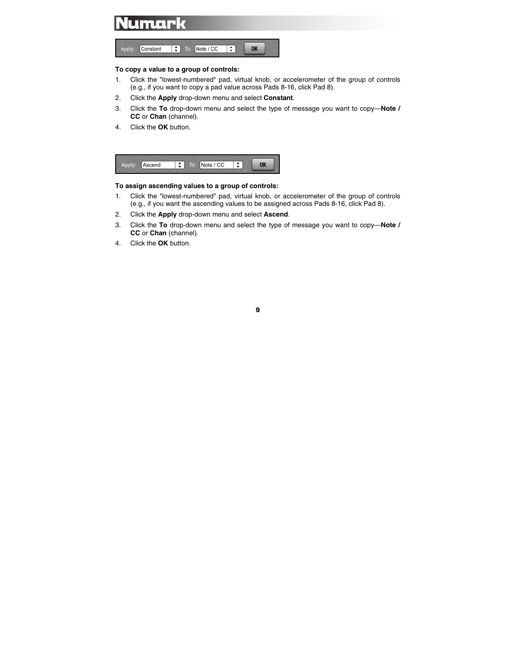

#### **To copy a value to a group of controls:**

- 1. Click the "lowest-numbered" pad, virtual knob, or accelerometer of the group of controls (e.g., if you want to copy a pad value across Pads 8-16, click Pad 8).
- 2. Click the **Apply** drop-down menu and select **Constant**.
- 3. Click the **To** drop-down menu and select the type of message you want to copy—**Note / CC** or **Chan** (channel).
- 4. Click the **OK** button.



#### **To assign ascending values to a group of controls:**

- 1. Click the "lowest-numbered" pad, virtual knob, or accelerometer of the group of controls (e.g., if you want the ascending values to be assigned across Pads 8-16, click Pad 8).
- 2. Click the **Apply** drop-down menu and select **Ascend**.
- 3. Click the **To** drop-down menu and select the type of message you want to copy—**Note / CC** or **Chan** (channel).
- 4. Click the **OK** button.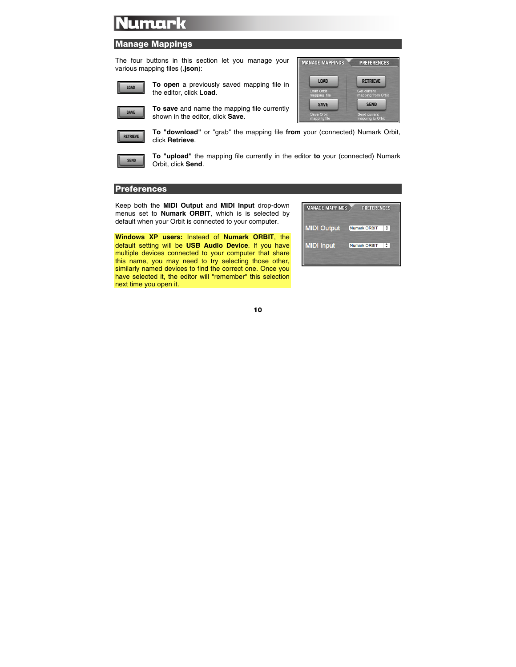#### <span id="page-9-0"></span>**Manage Mappings**

The four buttons in this section let you manage your various mapping files (**.json**):



**To open** a previously saved mapping file in the editor, click **Load**.



RETRIEVE

**To save** and name the mapping file currently shown in the editor, click **Save**.



**To "download"** or "grab" the mapping file **from** your (connected) Numark Orbit, click **Retrieve**.



**To "upload"** the mapping file currently in the editor **to** your (connected) Numark Orbit, click **Send**.

#### **Preferences**

Keep both the **MIDI Output** and **MIDI Input** drop-down menus set to **Numark ORBIT**, which is is selected by default when your Orbit is connected to your computer.

**Windows XP users:** Instead of **Numark ORBIT**, the default setting will be **USB Audio Device**. If you have multiple devices connected to your computer that share this name, you may need to try selecting those other, similarly named devices to find the correct one. Once you have selected it, the editor will "remember" this selection next time you open it.

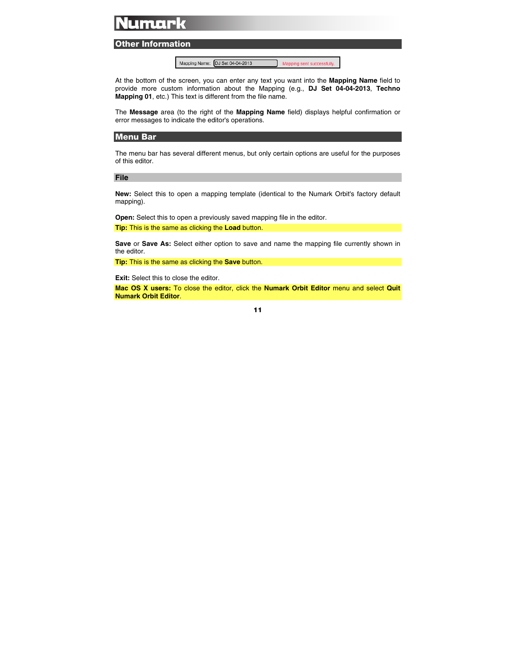#### **Other Information**

Mapping Name: DJ Set 04-04-2013 Mapping sent successfully.

At the bottom of the screen, you can enter any text you want into the **Mapping Name** field to provide more custom information about the Mapping (e.g., **DJ Set 04-04-2013**, **Techno Mapping 01**, etc.) This text is different from the file name.

The **Message** area (to the right of the **Mapping Name** field) displays helpful confirmation or error messages to indicate the editor's operations.

#### **Menu Bar**

The menu bar has several different menus, but only certain options are useful for the purposes of this editor.

#### **File**

**New:** Select this to open a mapping template (identical to the Numark Orbit's factory default mapping).

**Open:** Select this to open a previously saved mapping file in the editor.

**Tip:** This is the same as clicking the **Load** button.

**Save** or **Save As:** Select either option to save and name the mapping file currently shown in the editor.

**Tip:** This is the same as clicking the **Save** button.

**Exit:** Select this to close the editor.

**Mac OS X users:** To close the editor, click the **Numark Orbit Editor** menu and select **Quit Numark Orbit Editor**.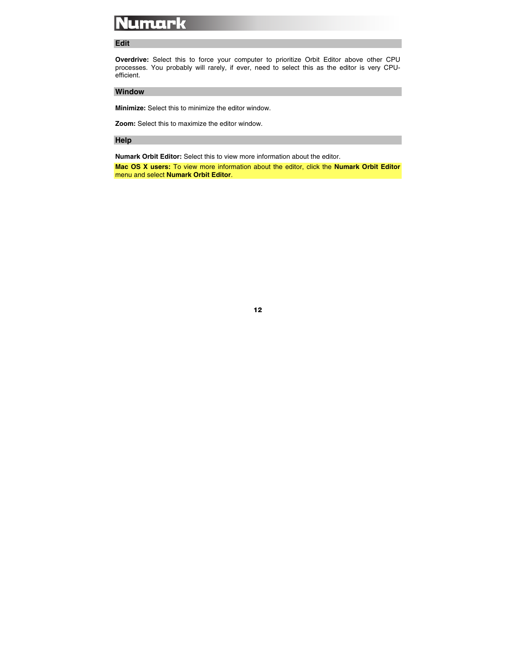#### **Edit**

**Overdrive:** Select this to force your computer to prioritize Orbit Editor above other CPU processes. You probably will rarely, if ever, need to select this as the editor is very CPUefficient.

#### **Window**

**Minimize:** Select this to minimize the editor window.

**Zoom:** Select this to maximize the editor window.

#### **Help**

**Numark Orbit Editor:** Select this to view more information about the editor.

**Mac OS X users:** To view more information about the editor, click the **Numark Orbit Editor** menu and select **Numark Orbit Editor**.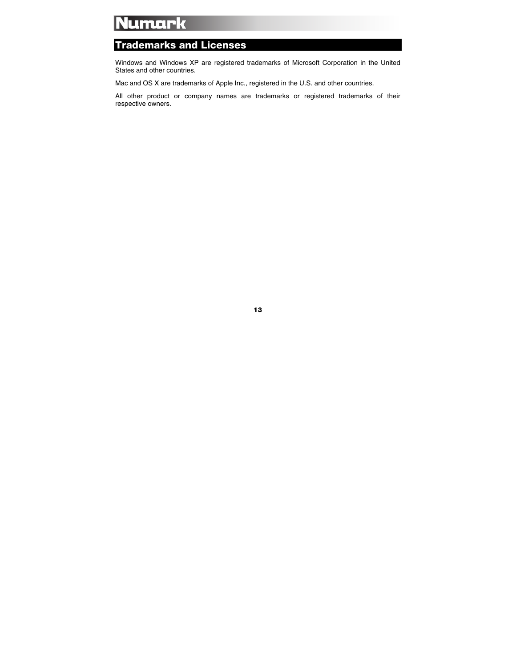#### **Trademarks and Licenses**

Windows and Windows XP are registered trademarks of Microsoft Corporation in the United States and other countries.

Mac and OS X are trademarks of Apple Inc., registered in the U.S. and other countries.

All other product or company names are trademarks or registered trademarks of their respective owners.